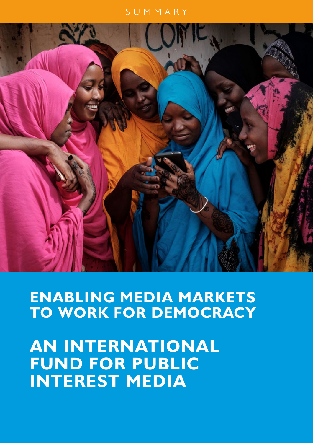### SUMMARY



**ENABLING MEDIA MARKETS TO WORK FOR DEMOCRACY** 

**AN INTERNATIONAL FUND FOR PUBLIC INTEREST MEDIA**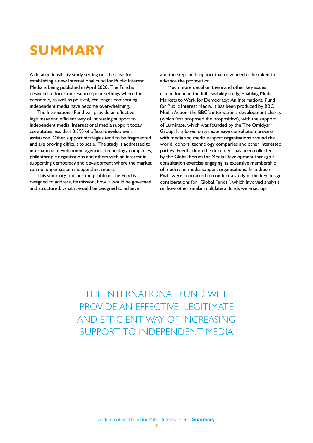## **SUMMARY**

A detailed feasibility study setting out the case for establishing a new International Fund for Public Interest Media is being published in April 2020. The Fund is designed to focus on resource poor settings where the economic, as well as political, challenges confronting independent media have become overwhelming.

The International Fund will provide an effective, legitimate and efficient way of increasing support to independent media. International media support today constitutes less than 0.3% of official development assistance. Other support strategies tend to be fragmented and are proving difficult to scale. The study is addressed to international development agencies, technology companies, philanthropic organisations and others with an interest in supporting democracy and development where the market can no longer sustain independent media.

This summary outlines the problems the Fund is designed to address, its mission, how it would be governed and structured, what it would be designed to achieve

and the steps and support that now need to be taken to advance the proposition.

Much more detail on these and other key issues can be found in the full feasibility study, Enabling Media Markets to Work for Democracy: An International Fund for Public Interest Media. It has been produced by BBC Media Action, the BBC's international development charity (which first proposed the proposition), with the support of Luminate, which was founded by the The Omidyar Group. It is based on an extensive consultation process with media and media support organisations around the world, donors, technology companies and other interested parties. Feedback on the document has been collected by the Global Forum for Media Development through a consultation exercise engaging its extensive membership of media and media support organisations. In addition, PwC were contracted to conduct a study of the key design considerations for "Global Funds", which involved analysis on how other similar multilateral funds were set up.

THE INTERNATIONAL FUND WILL PROVIDE AN EFFECTIVE, LEGITIMATE AND EFFICIENT WAY OF INCREASING SUPPORT TO INDEPENDENT MEDIA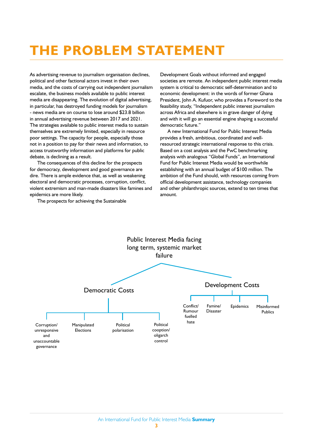## **THE PROBLEM STATEMENT**

As advertising revenue to journalism organisation declines, political and other factional actors invest in their own media, and the costs of carrying out independent journalism escalate, the business models available to public interest media are disappearing. The evolution of digital advertising, in particular, has destroyed funding models for journalism - news media are on course to lose around \$23.8 billion in annual advertising revenue between 2017 and 2021. The strategies available to public interest media to sustain themselves are extremely limited, especially in resource poor settings. The capacity for people, especially those not in a position to pay for their news and information, to access trustworthy information and platforms for public debate, is declining as a result.

The consequences of this decline for the prospects for democracy, development and good governance are dire. There is ample evidence that, as well as weakening electoral and democratic processes, corruption, conflict, violent extremism and man-made disasters like famines and epidemics are more likely.

The prospects for achieving the Sustainable

Development Goals without informed and engaged societies are remote. An independent public interest media system is critical to democratic self-determination and to economic development: in the words of former Ghana President, John A. Kufuor, who provides a Foreword to the feasibility study, "Independent public interest journalism across Africa and elsewhere is in grave danger of dying and with it will go an essential engine shaping a successful democratic future."

A new International Fund for Public Interest Media provides a fresh, ambitious, coordinated and wellresourced strategic international response to this crisis. Based on a cost analysis and the PwC benchmarking analysis with analogous "Global Funds", an International Fund for Public Interest Media would be worthwhile establishing with an annual budget of \$100 million. The ambition of the Fund should, with resources coming from official development assistance, technology companies and other philanthropic sources, extend to ten times that amount.

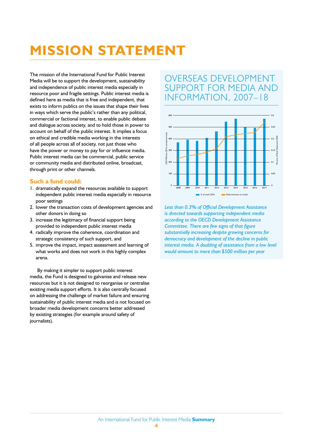## **MISSION STATEMENT**

The mission of the International Fund for Public Interest Media will be to support the development, sustainability and independence of public interest media especially in resource poor and fragile settings. Public interest media is defined here as media that is free and independent, that exists to inform publics on the issues that shape their lives in ways which serve the public's rather than any political, commercial or factional interest, to enable public debate and dialogue across society, and to hold those in power to account on behalf of the public interest. It implies a focus on ethical and credible media working in the interests of all people across all of society, not just those who have the power or money to pay for or influence media. Public interest media can be commercial, public service or community media and distributed online, broadcast, through print or other channels.

### **Such a fund could:**

- 1. dramatically expand the resources available to support independent public interest media especially in resource poor settings
- 2. lower the transaction costs of development agencies and other donors in doing so
- 3. increase the legitimacy of financial support being provided to independent public interest media
- 4. radically improve the coherence, coordination and strategic consistency of such support, and
- 5. improve the impact, impact assessment and learning of what works and does not work in this highly complex arena.

By making it simpler to support public interest media, the Fund is designed to galvanise and release new resources but it is not designed to reorganise or centralise existing media support efforts. It is also centrally focused on addressing the challenge of market failure and ensuring sustainability of public interest media and is not focused on broader media development concerns better addressed by existing strategies (for example around safety of journalists).

## OVERSEAS DEVELOPMENT SUPPORT FOR MEDIA AND INFORMATION, 2007–18



*Less than 0.3% of Official Development Assistance is directed towards supporting independent media according to the OECD Development Assistance Committee. There are few signs of that figure substantially increasing despite growing concerns for democracy and development of the decline in public interest media. A doubling of assistance from a low level would amount to more than \$500 million per year*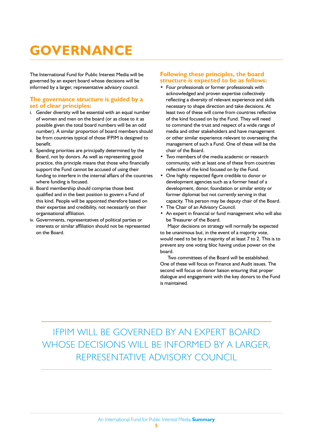# **GOVERNANCE**

The International Fund for Public Interest Media will be governed by an expert board whose decisions will be informed by a larger, representative advisory council.

### **The governance structure is guided by a set of clear principles:**

- i. Gender diversity will be essential with an equal number of women and men on the board (or as close to it as possible given the total board numbers will be an odd number). A similar proportion of board members should be from countries typical of those IFPIM is designed to benefit.
- ii. Spending priorities are principally determined by the Board, not by donors. As well as representing good practice, this principle means that those who financially support the Fund cannot be accused of using their funding to interfere in the internal affairs of the countries where funding is focused.
- iii. Board membership should comprise those best qualified and in the best position to govern a Fund of this kind. People will be appointed therefore based on their expertise and credibility, not necessarily on their organisational affiliation.
- iv. Governments, representatives of political parties or interests or similar affiliation should not be represented on the Board.

### **Following these principles, the board structure is expected to be as follows:**

- Four professionals or former professionals with acknowledged and proven expertise collectively reflecting a diversity of relevant experience and skills necessary to shape direction and take decisions. At least two of these will come from countries reflective of the kind focused on by the Fund. They will need to command the trust and respect of a wide range of media and other stakeholders and have management or other similar experience relevant to overseeing the management of such a Fund. One of these will be the chair of the Board.
- Two members of the media academic or research community, with at least one of these from countries reflective of the kind focused on by the Fund.
- One highly respected figure credible to donor or development agencies such as a former head of a development, donor, foundation or similar entity or former diplomat but not currently serving in that capacity. This person may be deputy chair of the Board.
- The Chair of an Advisory Council.
- An expert in financial or fund management who will also be Treasurer of the Board.

Major decisions on strategy will normally be expected to be unanimous but, in the event of a majority vote, would need to be by a majority of at least 7 to 2. This is to prevent any one voting bloc having undue power on the board.

Two committees of the Board will be established. One of these will focus on Finance and Audit issues. The second will focus on donor liaison ensuring that proper dialogue and engagement with the key donors to the Fund is maintained.

## IFPIM WILL BE GOVERNED BY AN EXPERT BOARD WHOSE DECISIONS WILL BE INFORMED BY A LARGER, REPRESENTATIVE ADVISORY COUNCIL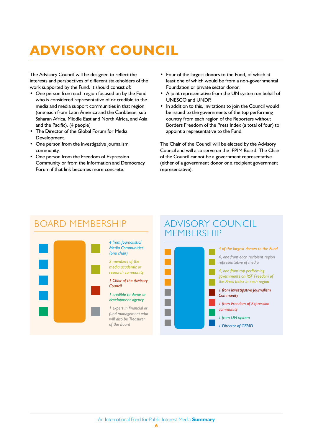# **ADVISORY COUNCIL**

The Advisory Council will be designed to reflect the interests and perspectives of different stakeholders of the work supported by the Fund. It should consist of:

- One person from each region focused on by the Fund who is considered representative of or credible to the media and media support communities in that region (one each from Latin America and the Caribbean, sub Saharan Africa, Middle East and North Africa, and Asia and the Pacific). (4 people)
- The Director of the Global Forum for Media Development.
- One person from the investigative journalism community.
- One person from the Freedom of Expression Community or from the Information and Democracy Forum if that link becomes more concrete.
- Four of the largest donors to the Fund, of which at least one of which would be from a non-governmental Foundation or private sector donor.
- A joint representative from the UN system on behalf of UNESCO and UNDP.
- In addition to this, invitations to join the Council would be issued to the governments of the top performing country from each region of the Reporters without Borders Freedom of the Press Index (a total of four) to appoint a representative to the Fund.

The Chair of the Council will be elected by the Advisory Council and will also serve on the IFPIM Board. The Chair of the Council cannot be a government representative (either of a government donor or a recipient government representative).

## BOARD MEMBERSHIP ADVISORY COUNCIL



#### *4 from Journalistic/ Media Communities (one chair)*

*2 members of the media academic or research community*

*1 Chair of the Advisory Council*

### *1 credible to donor or development agency*

*1 expert in financial or fund management who will also be Treasurer of the Board*

# MEMBERSHIP

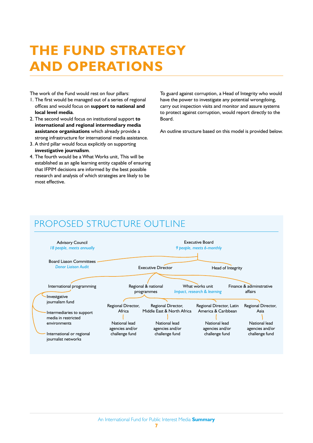## **THE FUND STRATEGY AND OPERATIONS**

The work of the Fund would rest on four pillars:

- 1. The first would be managed out of a series of regional offices and would focus on **support to national and local level media**.
- 2. The second would focus on institutional support **to international and regional intermediary media assistance organisations** which already provide a strong infrastructure for international media assistance.
- 3. A third pillar would focus explicitly on supporting **investigative journalism**.
- 4. The fourth would be a What Works unit, This will be established as an agile learning entity capable of ensuring that IFPIM decisions are informed by the best possible research and analysis of which strategies are likely to be most effective.

To guard against corruption, a Head of Integrity who would have the power to investigate any potential wrongdoing, carry out inspection visits and monitor and assure systems to protect against corruption, would report directly to the Board.

An outline structure based on this model is provided below.

## PROPOSED STRUCTURE OUTLINE

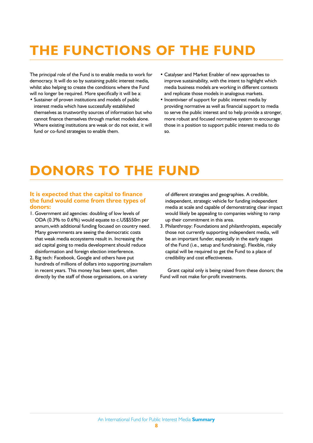# **THE FUNCTIONS OF THE FUND**

The principal role of the Fund is to enable media to work for democracy. It will do so by sustaining public interest media, whilst also helping to create the conditions where the Fund will no longer be required. More specifically it will be a:

- Sustainer of proven institutions and models of public interest media which have successfully established themselves as trustworthy sources of information but who cannot finance themselves through market models alone. Where existing institutions are weak or do not exist, it will fund or co-fund strategies to enable them.
- Catalyser and Market Enabler of new approaches to improve sustainability, with the intent to highlight which media business models are working in different contexts and replicate those models in analogous markets.
- Incentiviser of support for public interest media by providing normative as well as financial support to media to serve the public interest and to help provide a stronger, more robust and focused normative system to encourage those in a position to support public interest media to do so.

## **DONORS TO THE FUND**

### **It is expected that the capital to finance the fund would come from three types of donors:**

- 1. Government aid agencies: doubling of low levels of ODA (0.3% to 0.6%) would equate to c.US\$550m per annum,with additional funding focused on country need. Many governments are seeing the democratic costs that weak media ecosystems result in. Increasing the aid capital going to media development should reduce disinformation and foreign election interference.
- 2. Big tech: Facebook, Google and others have put hundreds of millions of dollars into supporting journalism in recent years. This money has been spent, often directly by the staff of those organisations, on a variety

of different strategies and geographies. A credible, independent, strategic vehicle for funding independent media at scale and capable of demonstrating clear impact would likely be appealing to companies wishing to ramp up their commitment in this area.

3. Philanthropy: Foundations and philanthropists, especially those not currently supporting independent media, will be an important funder, especially in the early stages of the Fund (i.e., setup and fundraising). Flexible, risky capital will be required to get the Fund to a place of credibility and cost effectiveness.

Grant capital only is being raised from these donors; the Fund will not make for-profit investments.